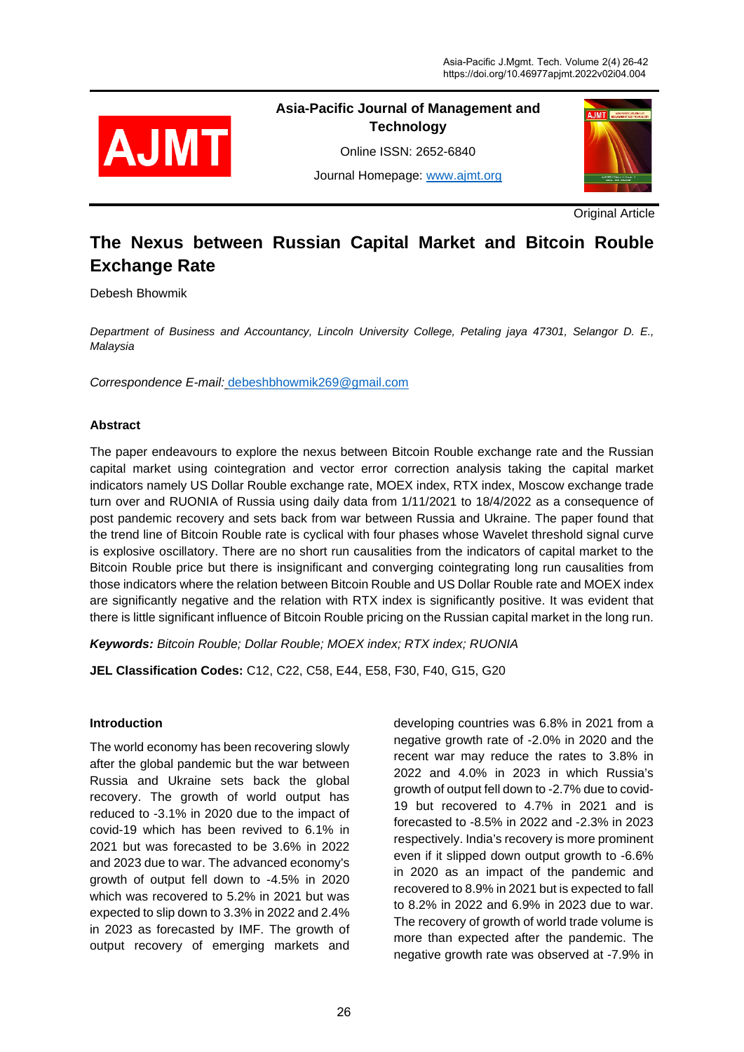

# **Asia-Pacific Journal of Management and Technology**

Online ISSN: 2652-6840

Journal Homepage: [www.ajmt.org](http://www.ajmt.org/)



**Original Article** 

# **The Nexus between Russian Capital Market and Bitcoin Rouble Exchange Rate**

Debesh Bhowmik

*Department of Business and Accountancy, Lincoln University College, Petaling jaya 47301, Selangor D. E., Malaysia* 

*Correspondence E-mail:* [debeshbhowmik269@gmail.com](mailto:debeshbhowmik269@gmail.com)

# **Abstract**

The paper endeavours to explore the nexus between Bitcoin Rouble exchange rate and the Russian capital market using cointegration and vector error correction analysis taking the capital market indicators namely US Dollar Rouble exchange rate, MOEX index, RTX index, Moscow exchange trade turn over and RUONIA of Russia using daily data from 1/11/2021 to 18/4/2022 as a consequence of post pandemic recovery and sets back from war between Russia and Ukraine. The paper found that the trend line of Bitcoin Rouble rate is cyclical with four phases whose Wavelet threshold signal curve is explosive oscillatory. There are no short run causalities from the indicators of capital market to the Bitcoin Rouble price but there is insignificant and converging cointegrating long run causalities from those indicators where the relation between Bitcoin Rouble and US Dollar Rouble rate and MOEX index are significantly negative and the relation with RTX index is significantly positive. It was evident that there is little significant influence of Bitcoin Rouble pricing on the Russian capital market in the long run.

*Keywords: Bitcoin Rouble; Dollar Rouble; MOEX index; RTX index; RUONIA* 

**JEL Classification Codes:** C12, C22, C58, E44, E58, F30, F40, G15, G20

# **Introduction**

The world economy has been recovering slowly after the global pandemic but the war between Russia and Ukraine sets back the global recovery. The growth of world output has reduced to -3.1% in 2020 due to the impact of covid-19 which has been revived to 6.1% in 2021 but was forecasted to be 3.6% in 2022 and 2023 due to war. The advanced economy's growth of output fell down to -4.5% in 2020 which was recovered to 5.2% in 2021 but was expected to slip down to 3.3% in 2022 and 2.4% in 2023 as forecasted by IMF. The growth of output recovery of emerging markets and developing countries was 6.8% in 2021 from a negative growth rate of -2.0% in 2020 and the recent war may reduce the rates to 3.8% in 2022 and 4.0% in 2023 in which Russia's growth of output fell down to -2.7% due to covid-19 but recovered to 4.7% in 2021 and is forecasted to -8.5% in 2022 and -2.3% in 2023 respectively. India's recovery is more prominent even if it slipped down output growth to -6.6% in 2020 as an impact of the pandemic and recovered to 8.9% in 2021 but is expected to fall to 8.2% in 2022 and 6.9% in 2023 due to war. The recovery of growth of world trade volume is more than expected after the pandemic. The negative growth rate was observed at -7.9% in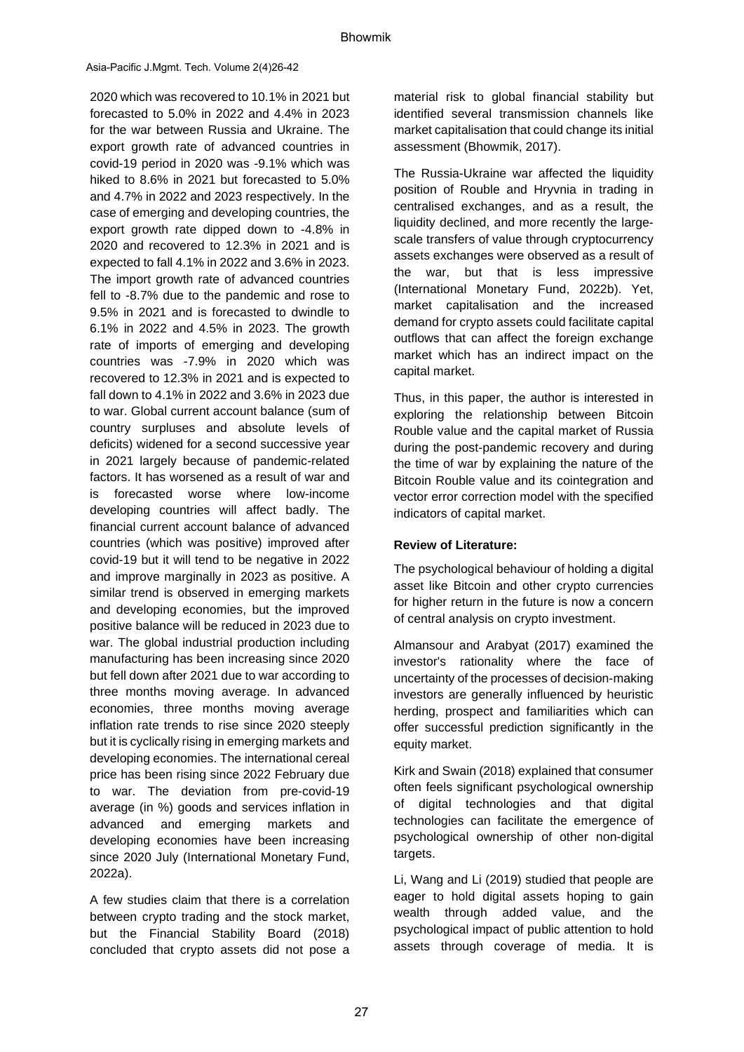2020 which was recovered to 10.1% in 2021 but forecasted to 5.0% in 2022 and 4.4% in 2023 for the war between Russia and Ukraine. The export growth rate of advanced countries in covid-19 period in 2020 was -9.1% which was hiked to 8.6% in 2021 but forecasted to 5.0% and 4.7% in 2022 and 2023 respectively. In the case of emerging and developing countries, the export growth rate dipped down to -4.8% in 2020 and recovered to 12.3% in 2021 and is expected to fall 4.1% in 2022 and 3.6% in 2023. The import growth rate of advanced countries fell to -8.7% due to the pandemic and rose to 9.5% in 2021 and is forecasted to dwindle to 6.1% in 2022 and 4.5% in 2023. The growth rate of imports of emerging and developing countries was -7.9% in 2020 which was recovered to 12.3% in 2021 and is expected to fall down to 4.1% in 2022 and 3.6% in 2023 due to war. Global current account balance (sum of country surpluses and absolute levels of deficits) widened for a second successive year in 2021 largely because of pandemic-related factors. It has worsened as a result of war and is forecasted worse where low-income developing countries will affect badly. The financial current account balance of advanced countries (which was positive) improved after covid-19 but it will tend to be negative in 2022 and improve marginally in 2023 as positive. A similar trend is observed in emerging markets and developing economies, but the improved positive balance will be reduced in 2023 due to war. The global industrial production including manufacturing has been increasing since 2020 but fell down after 2021 due to war according to three months moving average. In advanced economies, three months moving average inflation rate trends to rise since 2020 steeply but it is cyclically rising in emerging markets and developing economies. The international cereal price has been rising since 2022 February due to war. The deviation from pre-covid-19 average (in %) goods and services inflation in advanced and emerging markets and developing economies have been increasing since 2020 July (International Monetary Fund, 2022a).

A few studies claim that there is a correlation between crypto trading and the stock market, but the Financial Stability Board (2018) concluded that crypto assets did not pose a

material risk to global financial stability but identified several transmission channels like market capitalisation that could change its initial assessment (Bhowmik, 2017).

The Russia-Ukraine war affected the liquidity position of Rouble and Hryvnia in trading in centralised exchanges, and as a result, the liquidity declined, and more recently the largescale transfers of value through cryptocurrency assets exchanges were observed as a result of the war, but that is less impressive (International Monetary Fund, 2022b). Yet, market capitalisation and the increased demand for crypto assets could facilitate capital outflows that can affect the foreign exchange market which has an indirect impact on the capital market.

Thus, in this paper, the author is interested in exploring the relationship between Bitcoin Rouble value and the capital market of Russia during the post-pandemic recovery and during the time of war by explaining the nature of the Bitcoin Rouble value and its cointegration and vector error correction model with the specified indicators of capital market.

# **Review of Literature:**

The psychological behaviour of holding a digital asset like Bitcoin and other crypto currencies for higher return in the future is now a concern of central analysis on crypto investment.

Almansour and Arabyat (2017) examined the investor's rationality where the face of uncertainty of the processes of decision-making investors are generally influenced by heuristic herding, prospect and familiarities which can offer successful prediction significantly in the equity market.

Kirk and Swain (2018) explained that consumer often feels significant psychological ownership of digital technologies and that digital technologies can facilitate the emergence of psychological ownership of other non-digital targets.

Li, Wang and Li (2019) studied that people are eager to hold digital assets hoping to gain wealth through added value, and the psychological impact of public attention to hold assets through coverage of media. It is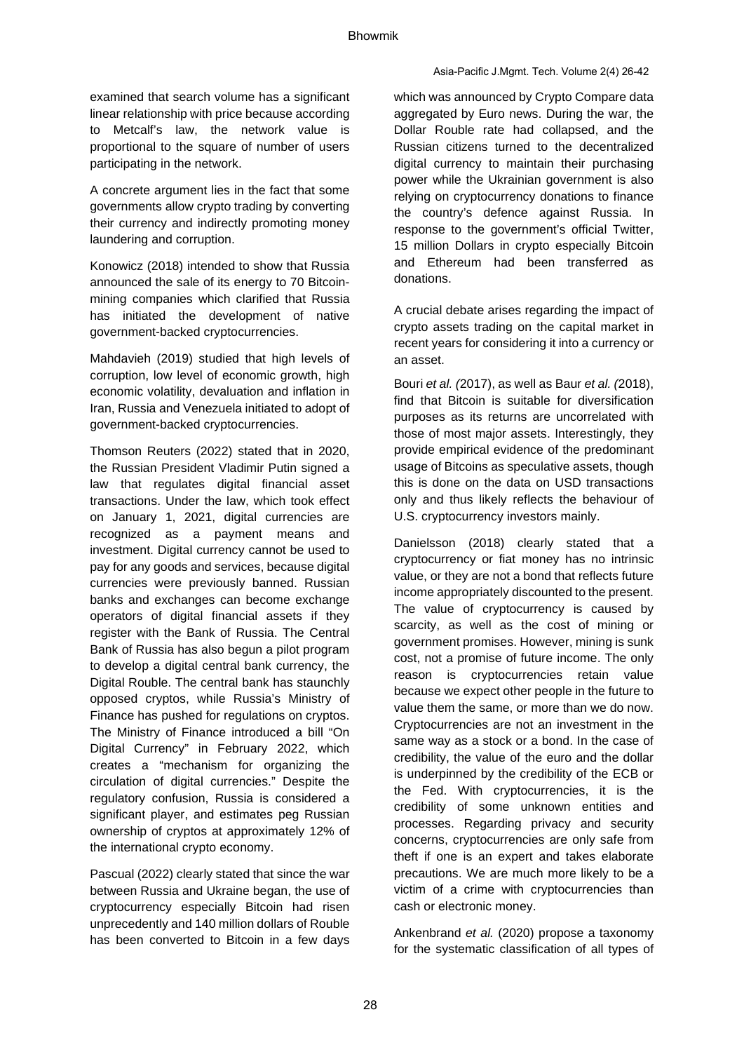#### Asia-Pacific J.Mgmt. Tech. Volume 2(4) 26-42

examined that search volume has a significant linear relationship with price because according to Metcalf's law, the network value is proportional to the square of number of users participating in the network.

A concrete argument lies in the fact that some governments allow crypto trading by converting their currency and indirectly promoting money laundering and corruption.

Konowicz (2018) intended to show that Russia announced the sale of its energy to 70 Bitcoinmining companies which clarified that Russia has initiated the development of native government-backed cryptocurrencies.

Mahdavieh (2019) studied that high levels of corruption, low level of economic growth, high economic volatility, devaluation and inflation in Iran, Russia and Venezuela initiated to adopt of government-backed cryptocurrencies.

Thomson Reuters (2022) stated that in 2020, the Russian President Vladimir Putin signed a law that regulates digital financial asset transactions. Under the law, which took effect on January 1, 2021, digital currencies are recognized as a payment means and investment. Digital currency cannot be used to pay for any goods and services, because digital currencies were previously banned. Russian banks and exchanges can become exchange operators of digital financial assets if they register with the Bank of Russia. The Central Bank of Russia has also begun a pilot program to develop a digital central bank currency, the Digital Rouble. The central bank has staunchly opposed cryptos, while Russia's Ministry of Finance has pushed for regulations on cryptos. The Ministry of Finance introduced a bill "On Digital Currency" in February 2022, which creates a "mechanism for organizing the circulation of digital currencies." Despite the regulatory confusion, Russia is considered a significant player, and estimates peg Russian ownership of cryptos at approximately 12% of the international crypto economy.

Pascual (2022) clearly stated that since the war between Russia and Ukraine began, the use of cryptocurrency especially Bitcoin had risen unprecedently and 140 million dollars of Rouble has been converted to Bitcoin in a few days

which was announced by Crypto Compare data aggregated by Euro news. During the war, the Dollar Rouble rate had collapsed, and the Russian citizens turned to the decentralized digital currency to maintain their purchasing power while the Ukrainian government is also relying on cryptocurrency donations to finance the country's defence against Russia. In response to the government's official Twitter, 15 million Dollars in crypto especially Bitcoin and Ethereum had been transferred as donations.

A crucial debate arises regarding the impact of crypto assets trading on the capital market in recent years for considering it into a currency or an asset.

Bouri *et al. (*2017), as well as Baur *et al. (*2018), find that Bitcoin is suitable for diversification purposes as its returns are uncorrelated with those of most major assets. Interestingly, they provide empirical evidence of the predominant usage of Bitcoins as speculative assets, though this is done on the data on USD transactions only and thus likely reflects the behaviour of U.S. cryptocurrency investors mainly.

Danielsson (2018) clearly stated that a cryptocurrency or fiat money has no intrinsic value, or they are not a bond that reflects future income appropriately discounted to the present. The value of cryptocurrency is caused by scarcity, as well as the cost of mining or government promises. However, mining is sunk cost, not a promise of future income. The only reason is cryptocurrencies retain value because we expect other people in the future to value them the same, or more than we do now. Cryptocurrencies are not an investment in the same way as a stock or a bond. In the case of credibility, the value of the euro and the dollar is underpinned by the credibility of the ECB or the Fed. With cryptocurrencies, it is the credibility of some unknown entities and processes. Regarding privacy and security concerns, cryptocurrencies are only safe from theft if one is an expert and takes elaborate precautions. We are much more likely to be a victim of a crime with cryptocurrencies than cash or electronic money.

Ankenbrand *et al.* (2020) propose a taxonomy for the systematic classification of all types of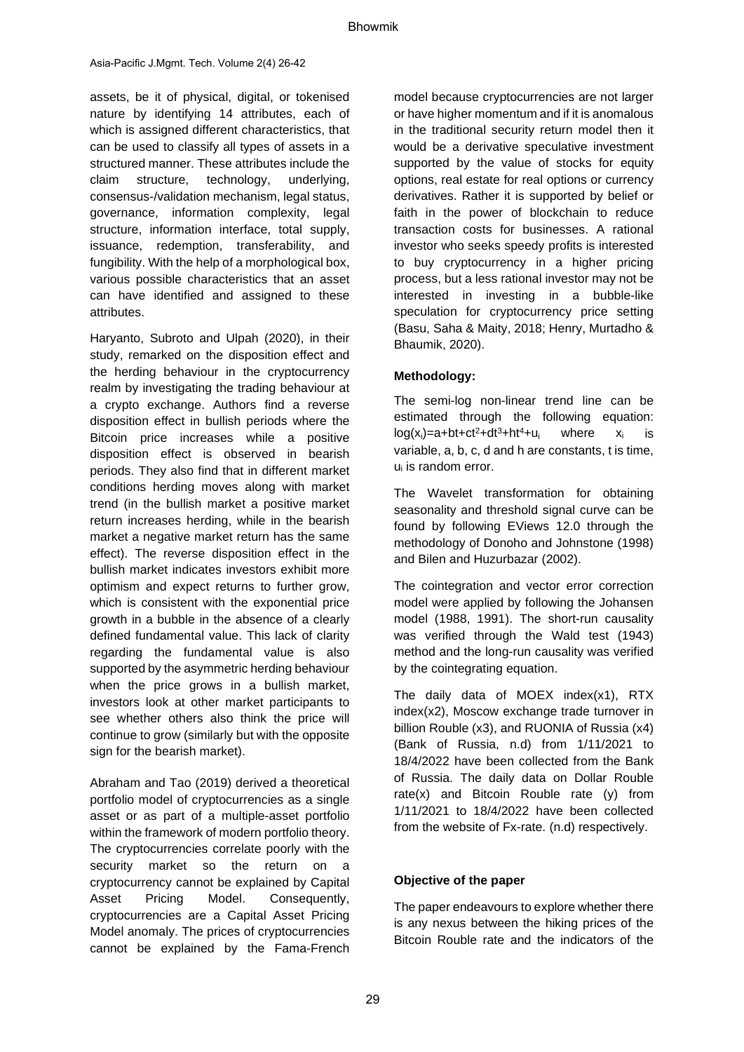assets, be it of physical, digital, or tokenised nature by identifying 14 attributes, each of which is assigned different characteristics, that can be used to classify all types of assets in a structured manner. These attributes include the claim structure, technology, underlying, consensus-/validation mechanism, legal status, governance, information complexity, legal structure, information interface, total supply, issuance, redemption, transferability, and fungibility. With the help of a morphological box, various possible characteristics that an asset can have identified and assigned to these attributes.

Haryanto, Subroto and Ulpah (2020), in their study, remarked on the disposition effect and the herding behaviour in the cryptocurrency realm by investigating the trading behaviour at a crypto exchange. Authors find a reverse disposition effect in bullish periods where the Bitcoin price increases while a positive disposition effect is observed in bearish periods. They also find that in different market conditions herding moves along with market trend (in the bullish market a positive market return increases herding, while in the bearish market a negative market return has the same effect). The reverse disposition effect in the bullish market indicates investors exhibit more optimism and expect returns to further grow, which is consistent with the exponential price growth in a bubble in the absence of a clearly defined fundamental value. This lack of clarity regarding the fundamental value is also supported by the asymmetric herding behaviour when the price grows in a bullish market, investors look at other market participants to see whether others also think the price will continue to grow (similarly but with the opposite sign for the bearish market).

Abraham and Tao (2019) derived a theoretical portfolio model of cryptocurrencies as a single asset or as part of a multiple-asset portfolio within the framework of modern portfolio theory. The cryptocurrencies correlate poorly with the security market so the return on a cryptocurrency cannot be explained by Capital Asset Pricing Model. Consequently, cryptocurrencies are a Capital Asset Pricing Model anomaly. The prices of cryptocurrencies cannot be explained by the Fama-French

model because cryptocurrencies are not larger or have higher momentum and if it is anomalous in the traditional security return model then it would be a derivative speculative investment supported by the value of stocks for equity options, real estate for real options or currency derivatives. Rather it is supported by belief or faith in the power of blockchain to reduce transaction costs for businesses. A rational investor who seeks speedy profits is interested to buy cryptocurrency in a higher pricing process, but a less rational investor may not be interested in investing in a bubble-like speculation for cryptocurrency price setting (Basu, Saha & Maity, 2018; Henry, Murtadho & Bhaumik, 2020).

# **Methodology:**

The semi-log non-linear trend line can be estimated through the following equation:  $log(x_i) = a + bt + ct^2 + dt^3 + ht^4 + u_i$  where  $x_i$  is variable, a, b, c, d and h are constants, t is time, u<sup>i</sup> is random error.

The Wavelet transformation for obtaining seasonality and threshold signal curve can be found by following EViews 12.0 through the methodology of Donoho and Johnstone (1998) and Bilen and Huzurbazar (2002).

The cointegration and vector error correction model were applied by following the Johansen model (1988, 1991). The short-run causality was verified through the Wald test (1943) method and the long-run causality was verified by the cointegrating equation.

The daily data of MOEX index(x1), RTX index(x2), Moscow exchange trade turnover in billion Rouble (x3), and RUONIA of Russia (x4) (Bank of Russia, n.d) from 1/11/2021 to 18/4/2022 have been collected from the Bank of Russia. The daily data on Dollar Rouble rate(x) and Bitcoin Rouble rate  $(y)$  from 1/11/2021 to 18/4/2022 have been collected from the website of Fx-rate. (n.d) respectively.

# **Objective of the paper**

The paper endeavours to explore whether there is any nexus between the hiking prices of the Bitcoin Rouble rate and the indicators of the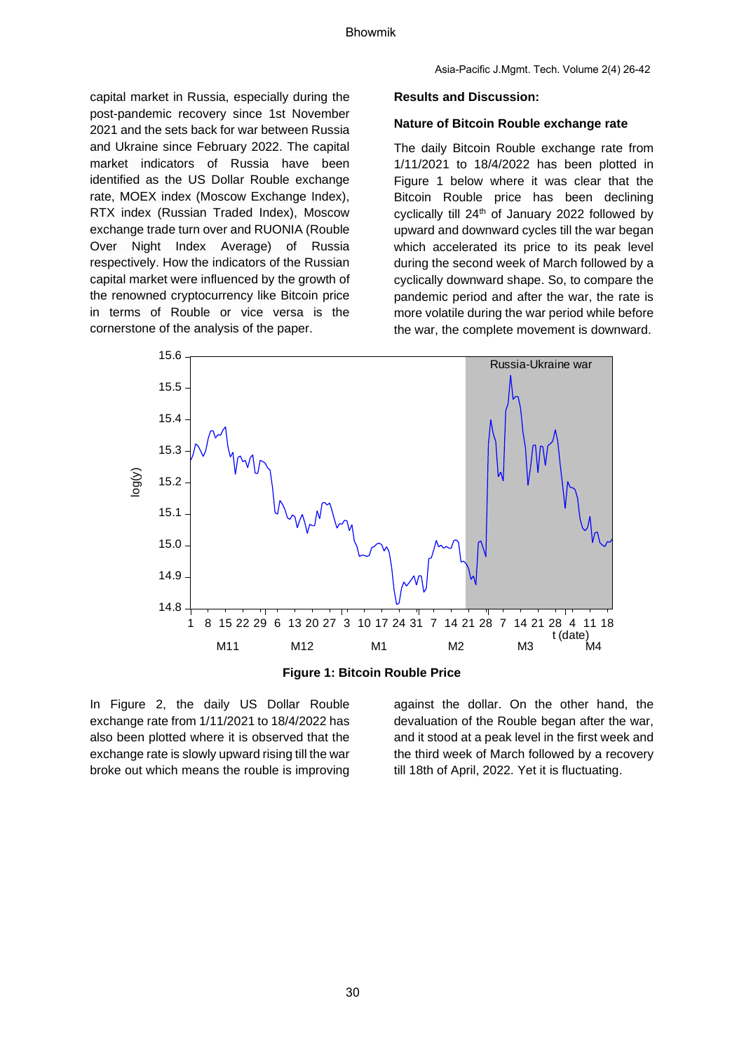capital market in Russia, especially during the post-pandemic recovery since 1st November 2021 and the sets back for war between Russia and Ukraine since February 2022. The capital market indicators of Russia have been identified as the US Dollar Rouble exchange rate, MOEX index (Moscow Exchange Index), RTX index (Russian Traded Index), Moscow exchange trade turn over and RUONIA (Rouble Over Night Index Average) of Russia respectively. How the indicators of the Russian capital market were influenced by the growth of the renowned cryptocurrency like Bitcoin price in terms of Rouble or vice versa is the cornerstone of the analysis of the paper.

#### **Results and Discussion:**

#### **Nature of Bitcoin Rouble exchange rate**

The daily Bitcoin Rouble exchange rate from 1/11/2021 to 18/4/2022 has been plotted in Figure 1 below where it was clear that the Bitcoin Rouble price has been declining cyclically till 24<sup>th</sup> of January 2022 followed by upward and downward cycles till the war began which accelerated its price to its peak level during the second week of March followed by a cyclically downward shape. So, to compare the pandemic period and after the war, the rate is more volatile during the war period while before the war, the complete movement is downward.



**Figure 1: Bitcoin Rouble Price**

In Figure 2, the daily US Dollar Rouble exchange rate from 1/11/2021 to 18/4/2022 has also been plotted where it is observed that the exchange rate is slowly upward rising till the war broke out which means the rouble is improving

against the dollar. On the other hand, the devaluation of the Rouble began after the war, and it stood at a peak level in the first week and the third week of March followed by a recovery till 18th of April, 2022. Yet it is fluctuating.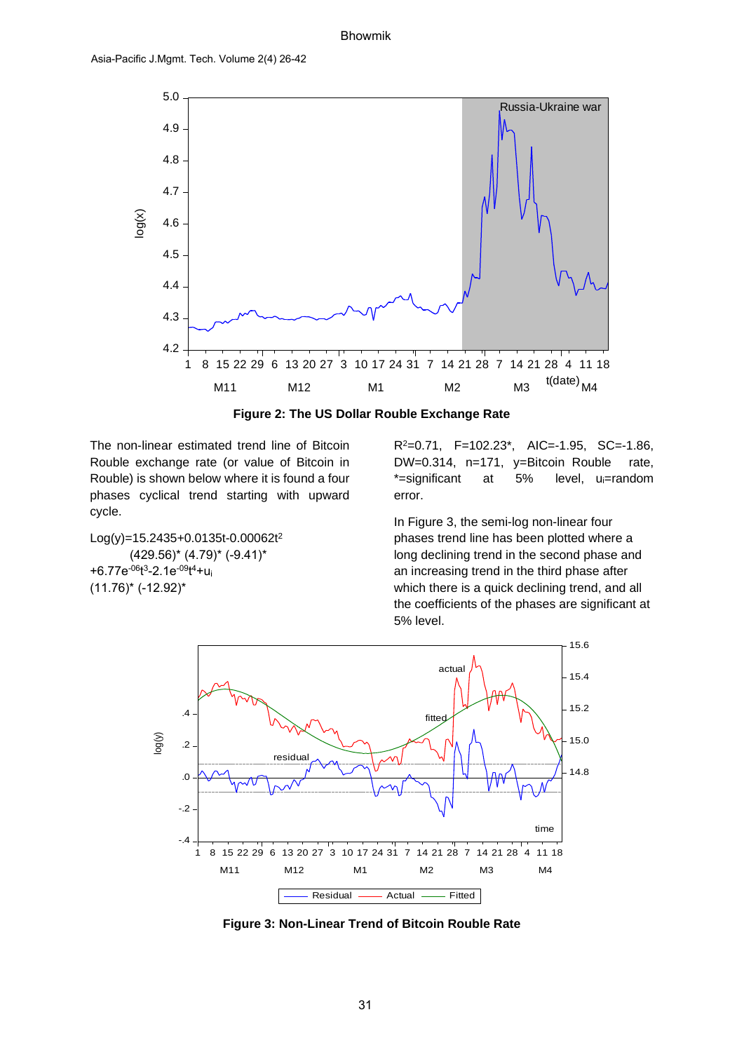

**Figure 2: The US Dollar Rouble Exchange Rate**

The non-linear estimated trend line of Bitcoin Rouble exchange rate (or value of Bitcoin in Rouble) is shown below where it is found a four phases cyclical trend starting with upward cycle.

Log(y)=15.2435+0.0135t-0.00062t<sup>2</sup>  $(429.56)$ \*  $(4.79)$ \*  $(-9.41)$ \* +6.77e-06t 3 -2.1e-09t <sup>4</sup>+u<sup>i</sup> (11.76)\* (-12.92)\*

R<sup>2</sup>=0.71, F=102.23\*, AIC=-1.95, SC=-1.86, DW=0.314, n=171, y=Bitcoin Rouble rate, \*=significant at 5% level, u<sub>i</sub>=random error.

In Figure 3, the semi-log non-linear four phases trend line has been plotted where a long declining trend in the second phase and an increasing trend in the third phase after which there is a quick declining trend, and all the coefficients of the phases are significant at 5% level.



**Figure 3: Non-Linear Trend of Bitcoin Rouble Rate**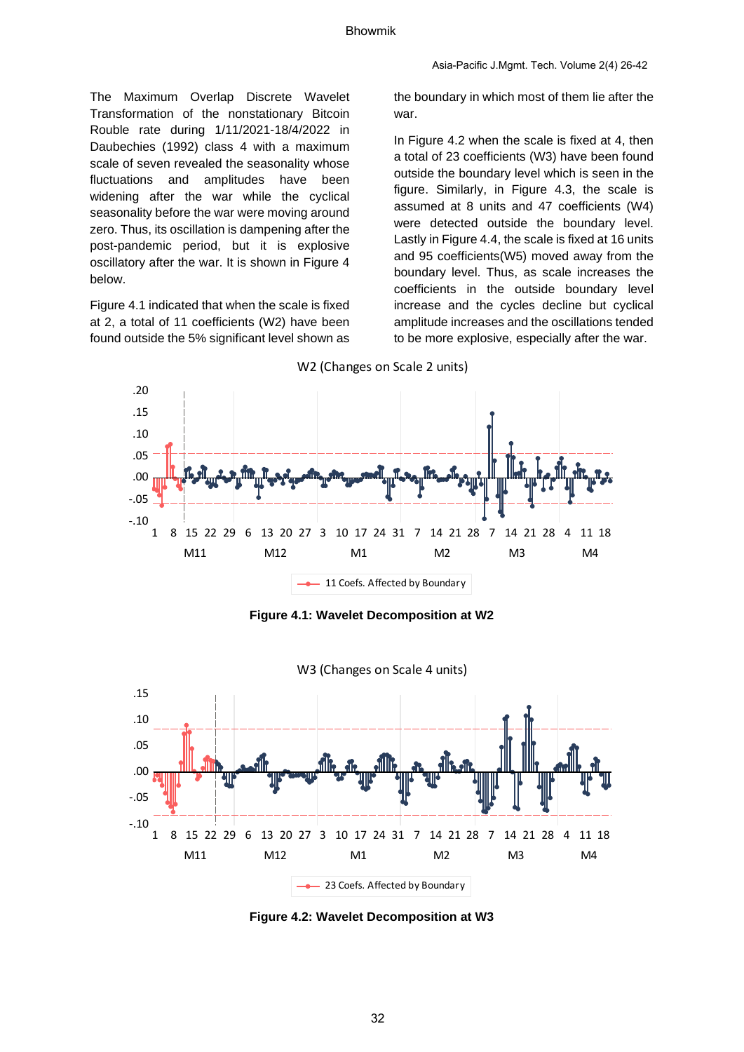The Maximum Overlap Discrete Wavelet Transformation of the nonstationary Bitcoin Rouble rate during 1/11/2021-18/4/2022 in Daubechies (1992) class 4 with a maximum scale of seven revealed the seasonality whose fluctuations and amplitudes have been widening after the war while the cyclical seasonality before the war were moving around zero. Thus, its oscillation is dampening after the post-pandemic period, but it is explosive oscillatory after the war. It is shown in Figure 4 below.

Figure 4.1 indicated that when the scale is fixed at 2, a total of 11 coefficients (W2) have been found outside the 5% significant level shown as

the boundary in which most of them lie after the war.

In Figure 4.2 when the scale is fixed at 4, then a total of 23 coefficients (W3) have been found outside the boundary level which is seen in the figure. Similarly, in Figure 4.3, the scale is assumed at 8 units and 47 coefficients (W4) were detected outside the boundary level. Lastly in Figure 4.4, the scale is fixed at 16 units and 95 coefficients(W5) moved away from the boundary level. Thus, as scale increases the coefficients in the outside boundary level increase and the cycles decline but cyclical amplitude increases and the oscillations tended to be more explosive, especially after the war.



**Figure 4.1: Wavelet Decomposition at W2**



**Figure 4.2: Wavelet Decomposition at W3**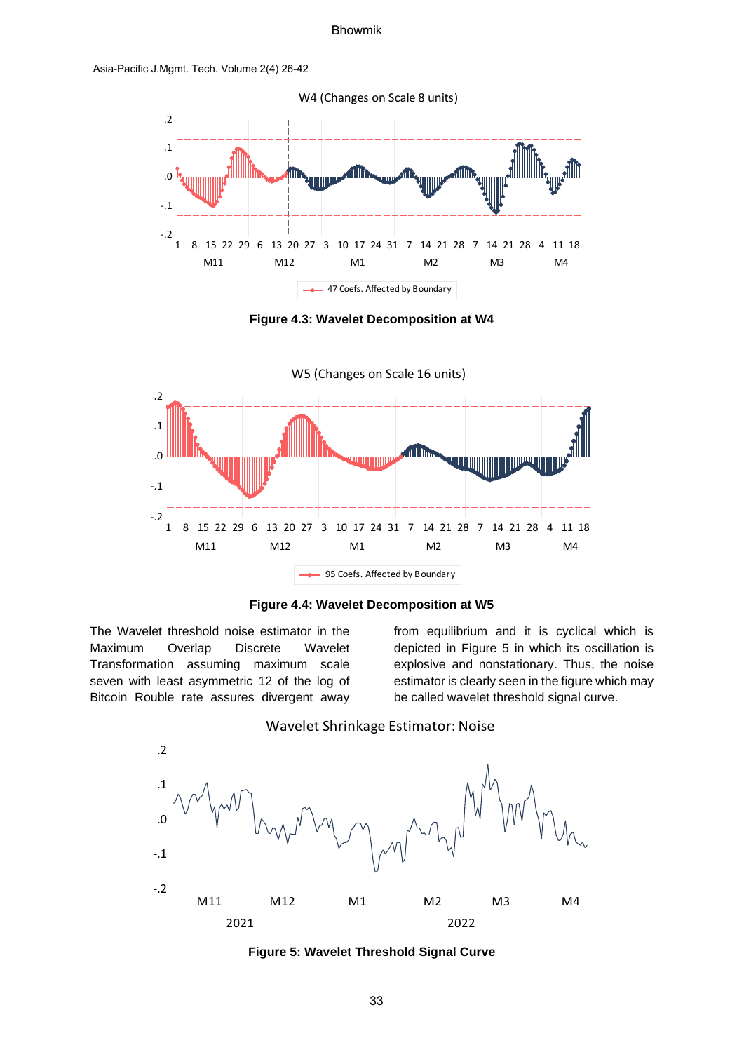

**Figure 4.3: Wavelet Decomposition at W4**



**Figure 4.4: Wavelet Decomposition at W5**

The Wavelet threshold noise estimator in the Maximum Overlap Discrete Wavelet Transformation assuming maximum scale seven with least asymmetric 12 of the log of Bitcoin Rouble rate assures divergent away

from equilibrium and it is cyclical which is depicted in Figure 5 in which its oscillation is explosive and nonstationary. Thus, the noise estimator is clearly seen in the figure which may be called wavelet threshold signal curve.



# Wavelet Shrinkage Estimator: Noise

**Figure 5: Wavelet Threshold Signal Curve**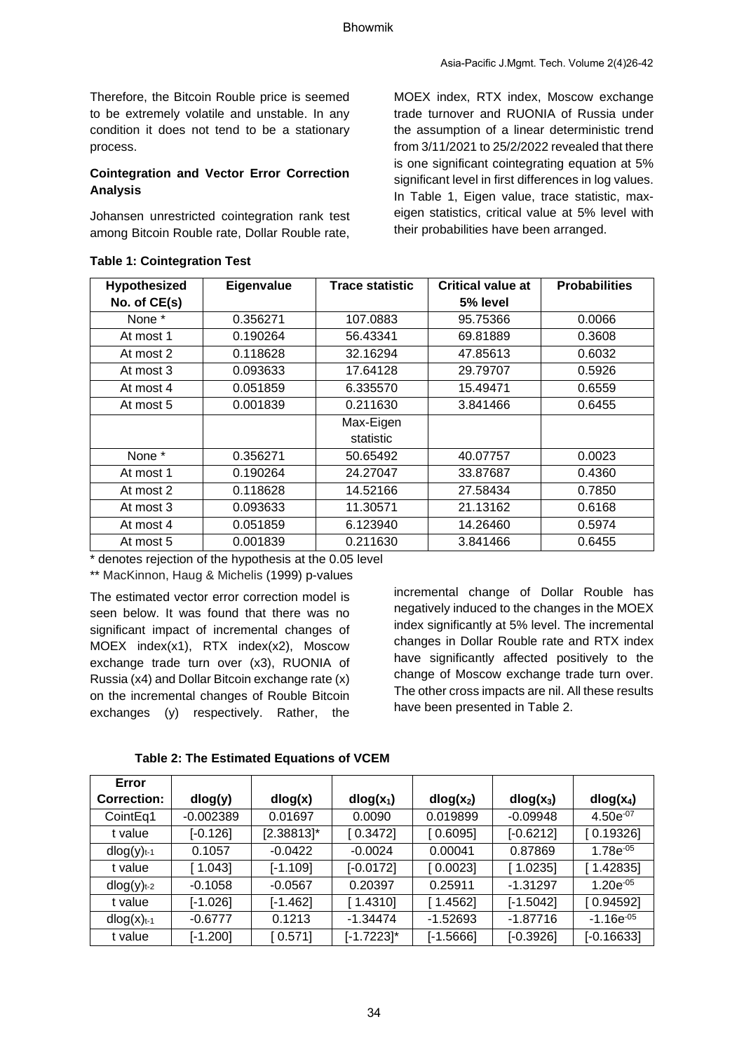Therefore, the Bitcoin Rouble price is seemed to be extremely volatile and unstable. In any condition it does not tend to be a stationary process.

# **Cointegration and Vector Error Correction Analysis**

Johansen unrestricted cointegration rank test among Bitcoin Rouble rate, Dollar Rouble rate,

MOEX index, RTX index, Moscow exchange trade turnover and RUONIA of Russia under the assumption of a linear deterministic trend from 3/11/2021 to 25/2/2022 revealed that there is one significant cointegrating equation at 5% significant level in first differences in log values. In Table 1, Eigen value, trace statistic, maxeigen statistics, critical value at 5% level with their probabilities have been arranged.

| Hypothesized | Eigenvalue | <b>Trace statistic</b> | <b>Critical value at</b> | <b>Probabilities</b> |
|--------------|------------|------------------------|--------------------------|----------------------|
| No. of CE(s) |            |                        | 5% level                 |                      |
| None *       | 0.356271   | 107.0883               | 95.75366                 | 0.0066               |
| At most 1    | 0.190264   | 56.43341               | 69.81889                 | 0.3608               |
| At most 2    | 0.118628   | 32.16294               | 47.85613                 | 0.6032               |
| At most 3    | 0.093633   | 17.64128               | 29.79707                 | 0.5926               |
| At most 4    | 0.051859   | 6.335570               | 15.49471                 | 0.6559               |
| At most 5    | 0.001839   | 0.211630               | 3.841466                 | 0.6455               |
|              |            | Max-Eigen              |                          |                      |
|              |            | statistic              |                          |                      |
| None *       | 0.356271   | 50.65492               | 40.07757                 | 0.0023               |
| At most 1    | 0.190264   | 24.27047               | 33.87687                 | 0.4360               |
| At most 2    | 0.118628   | 14.52166               | 27.58434                 | 0.7850               |
| At most 3    | 0.093633   | 11.30571               | 21.13162                 | 0.6168               |
| At most 4    | 0.051859   | 6.123940               | 14.26460                 | 0.5974               |
| At most 5    | 0.001839   | 0.211630               | 3.841466                 | 0.6455               |

# **Table 1: Cointegration Test**

\* denotes rejection of the hypothesis at the 0.05 level

\*\* MacKinnon, Haug & Michelis (1999) p-values

The estimated vector error correction model is seen below. It was found that there was no significant impact of incremental changes of MOEX index(x1), RTX index(x2), Moscow exchange trade turn over (x3), RUONIA of Russia (x4) and Dollar Bitcoin exchange rate (x) on the incremental changes of Rouble Bitcoin exchanges (y) respectively. Rather, the incremental change of Dollar Rouble has negatively induced to the changes in the MOEX index significantly at 5% level. The incremental changes in Dollar Rouble rate and RTX index have significantly affected positively to the change of Moscow exchange trade turn over. The other cross impacts are nil. All these results have been presented in Table 2.

| Error              |             |               |               |             |             |                 |
|--------------------|-------------|---------------|---------------|-------------|-------------|-----------------|
| <b>Correction:</b> | dlog(y)     | dlog(x)       | $dlog(x_1)$   | $dlog(x_2)$ | $dlog(x_3)$ | $dlog(x_4)$     |
| CointEq1           | $-0.002389$ | 0.01697       | 0.0090        | 0.019899    | $-0.09948$  | $4.50e^{-07}$   |
| t value            | $[-0.126]$  | $[2.38813]$ * | [0.3472]      | [0.6095]    | $[-0.6212]$ | [0.19326]       |
| $dlog(y)_{t-1}$    | 0.1057      | $-0.0422$     | $-0.0024$     | 0.00041     | 0.87869     | $1.78e^{-05}$   |
| t value            | 1.043       | $[-1.109]$    | $[-0.0172]$   | [0.0023]    | [1.0235]    | [1.42835]       |
| $dlog(y)_{t-2}$    | $-0.1058$   | $-0.0567$     | 0.20397       | 0.25911     | $-1.31297$  | $1.20e^{-0.5}$  |
| t value            | $[-1.026]$  | [-1.462]      | [1.4310]      | 1.4562]     | $[-1.5042]$ | [0.94592]       |
| $dlog(x)_{t-1}$    | $-0.6777$   | 0.1213        | $-1.34474$    | $-1.52693$  | $-1.87716$  | $-1.16e^{-0.5}$ |
| t value            | $[-1.200]$  | [0.571]       | $[-1.7223]$ * | $[-1.5666]$ | $[-0.3926]$ | $[-0.16633]$    |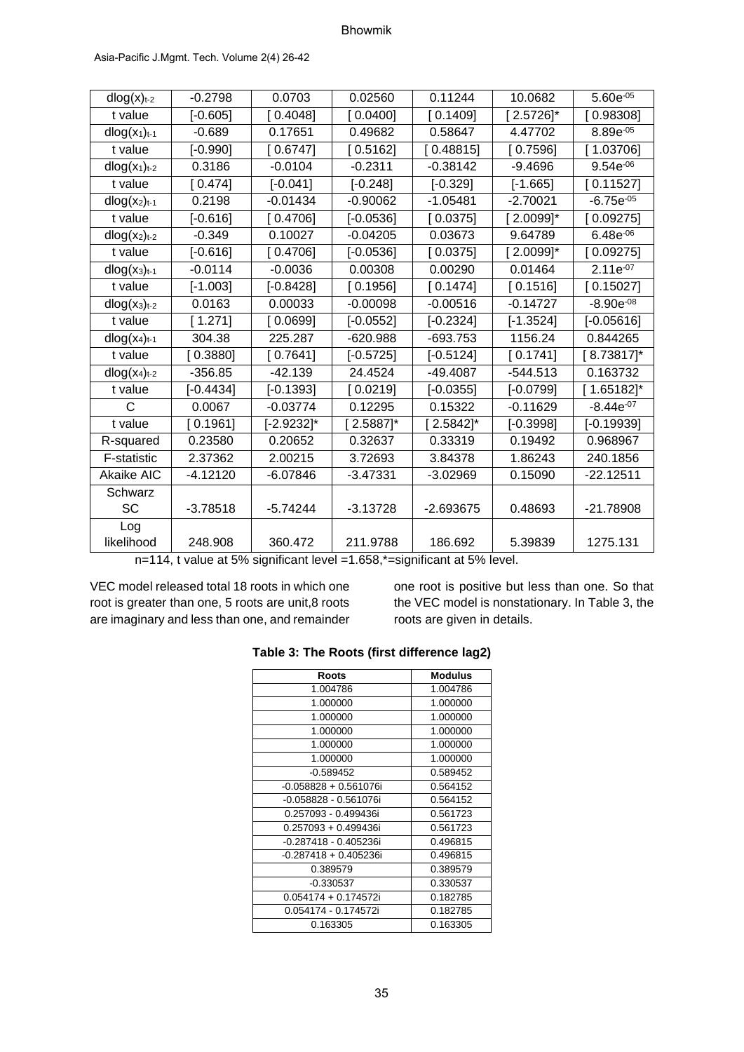| Asia-Pacific J.Mgmt. Tech. Volume 2(4) 26-42 |  |  |  |
|----------------------------------------------|--|--|--|
|----------------------------------------------|--|--|--|

| $dlog(x)_{t-2}$    | $-0.2798$   | 0.0703        | 0.02560      | 0.11244      | 10.0682      | $5.60e^{-05}$  |
|--------------------|-------------|---------------|--------------|--------------|--------------|----------------|
| t value            | $[-0.605]$  | [0.4048]      | [0.0400]     | [0.1409]     | $[2.5726]$ * | [0.98308]      |
| $dlog(x_1)_{t-1}$  | $-0.689$    | 0.17651       | 0.49682      | 0.58647      | 4.47702      | 8.89e-05       |
| t value            | $[-0.990]$  | [0.6747]      | [0.5162]     | [0.48815]    | [0.7596]     | [1.03706]      |
| $dlog(x_1)_{t-2}$  | 0.3186      | $-0.0104$     | $-0.2311$    | $-0.38142$   | $-9.4696$    | $9.54e^{-06}$  |
| t value            | [0.474]     | $[-0.041]$    | $[-0.248]$   | $[-0.329]$   | $[-1.665]$   | [0.11527]      |
| $dlog(x_2)_{t-1}$  | 0.2198      | $-0.01434$    | $-0.90062$   | $-1.05481$   | $-2.70021$   | $-6.75e^{-05}$ |
| t value            | $[-0.616]$  | [0.4706]      | $[-0.0536]$  | [0.0375]     | $[2.0099]$ * | [0.09275]      |
| $dlog(x_2)_{t-2}$  | $-0.349$    | 0.10027       | $-0.04205$   | 0.03673      | 9.64789      | $6.48e^{-06}$  |
| t value            | $[-0.616]$  | [0.4706]      | $[-0.0536]$  | [0.0375]     | $[2.0099]$ * | [0.09275]      |
| $dlog(x_3)_{t-1}$  | $-0.0114$   | $-0.0036$     | 0.00308      | 0.00290      | 0.01464      | $2.11e^{-07}$  |
| t value            | $[-1.003]$  | $[-0.8428]$   | [0.1956]     | [0.1474]     | [0.1516]     | [0.15027]      |
| $dlog(x_3)_{t-2}$  | 0.0163      | 0.00033       | $-0.00098$   | $-0.00516$   | $-0.14727$   | $-8.90e^{-08}$ |
| t value            | [1.271]     | [0.0699]      | $[-0.0552]$  | $[-0.2324]$  | $[-1.3524]$  | $[-0.05616]$   |
| $dlog(x_4)_{t-1}$  | 304.38      | 225.287       | $-620.988$   | $-693.753$   | 1156.24      | 0.844265       |
| t value            | [0.3880]    | [0.7641]      | $[-0.5725]$  | $[-0.5124]$  | [0.1741]     | $[8.73817]$ *  |
| $dlog(x_4)_{t-2}$  | $-356.85$   | $-42.139$     | 24.4524      | $-49.4087$   | $-544.513$   | 0.163732       |
| t value            | $[-0.4434]$ | $[-0.1393]$   | [0.0219]     | $[-0.0355]$  | $[-0.0799]$  | $[1.65182]$ *  |
| C                  | 0.0067      | $-0.03774$    | 0.12295      | 0.15322      | $-0.11629$   | $-8.44e^{-07}$ |
| t value            | [0.1961]    | $[-2.9232]$ * | $[2.5887]$ * | $[2.5842]$ * | $[-0.3998]$  | $[-0.19939]$   |
| R-squared          | 0.23580     | 0.20652       | 0.32637      | 0.33319      | 0.19492      | 0.968967       |
| <b>F-statistic</b> | 2.37362     | 2.00215       | 3.72693      | 3.84378      | 1.86243      | 240.1856       |
| <b>Akaike AIC</b>  | $-4.12120$  | $-6.07846$    | $-3.47331$   | $-3.02969$   | 0.15090      | $-22.12511$    |
| Schwarz            |             |               |              |              |              |                |
| <b>SC</b>          | $-3.78518$  | $-5.74244$    | $-3.13728$   | $-2.693675$  | 0.48693      | $-21.78908$    |
| Log                |             |               |              |              |              |                |
| likelihood         | 248.908     | 360.472       | 211.9788     | 186.692      | 5.39839      | 1275.131       |

n=114, t value at 5% significant level =1.658,\*=significant at 5% level.

VEC model released total 18 roots in which one root is greater than one, 5 roots are unit,8 roots are imaginary and less than one, and remainder one root is positive but less than one. So that the VEC model is nonstationary. In Table 3, the roots are given in details.

| <b>Roots</b>             | <b>Modulus</b> |
|--------------------------|----------------|
| 1.004786                 | 1.004786       |
| 1.000000                 | 1.000000       |
| 1.000000                 | 1.000000       |
| 1.000000                 | 1.000000       |
| 1.000000                 | 1.000000       |
| 1.000000                 | 1.000000       |
| $-0.589452$              | 0.589452       |
| $-0.058828 + 0.561076$ i | 0.564152       |
| -0.058828 - 0.561076i    | 0.564152       |
| 0.257093 - 0.499436i     | 0.561723       |
| $0.257093 + 0.499436$    | 0.561723       |
| -0.287418 - 0.405236i    | 0.496815       |
| $-0.287418 + 0.405236$ i | 0.496815       |
| 0.389579                 | 0.389579       |
| $-0.330537$              | 0.330537       |
| $0.054174 + 0.174572i$   | 0.182785       |
| 0.054174 - 0.174572i     | 0.182785       |
| 0.163305                 | 0.163305       |

# **Table 3: The Roots (first difference lag2)**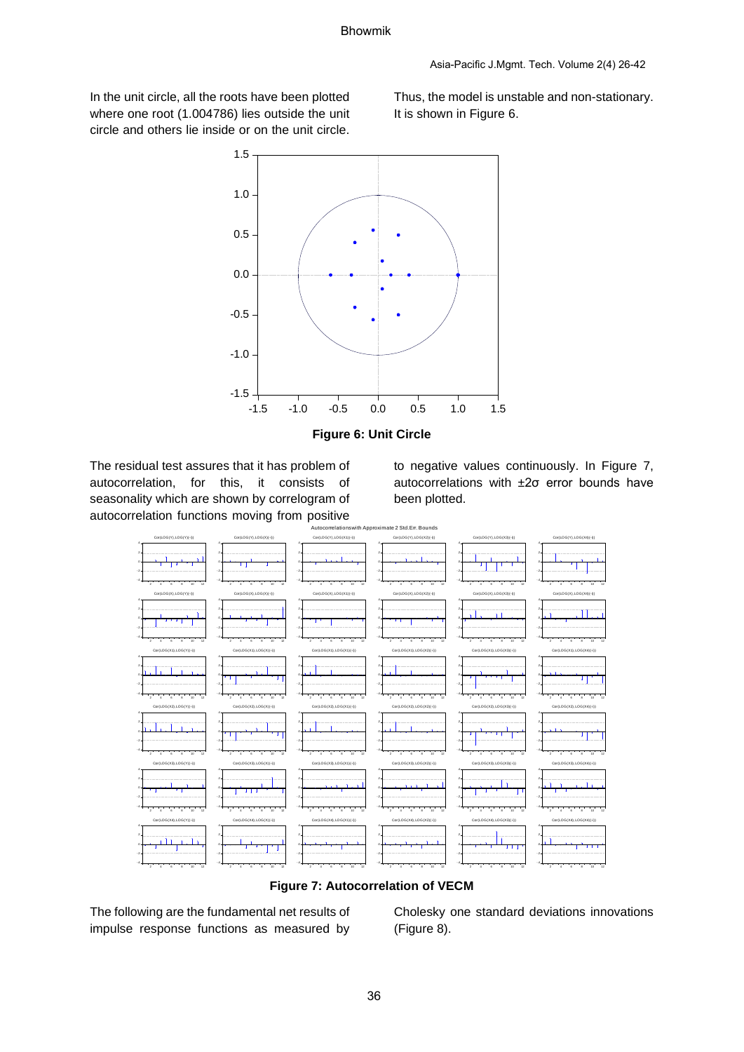In the unit circle, all the roots have been plotted where one root (1.004786) lies outside the unit circle and others lie inside or on the unit circle.

Thus, the model is unstable and non-stationary. It is shown in Figure 6.





The residual test assures that it has problem of autocorrelation, for this, it consists of seasonality which are shown by correlogram of autocorrelation functions moving from positive

to negative values continuously. In Figure 7, autocorrelations with ±2σ error bounds have been plotted.



**Figure 7: Autocorrelation of VECM**

The following are the fundamental net results of impulse response functions as measured by Cholesky one standard deviations innovations (Figure 8).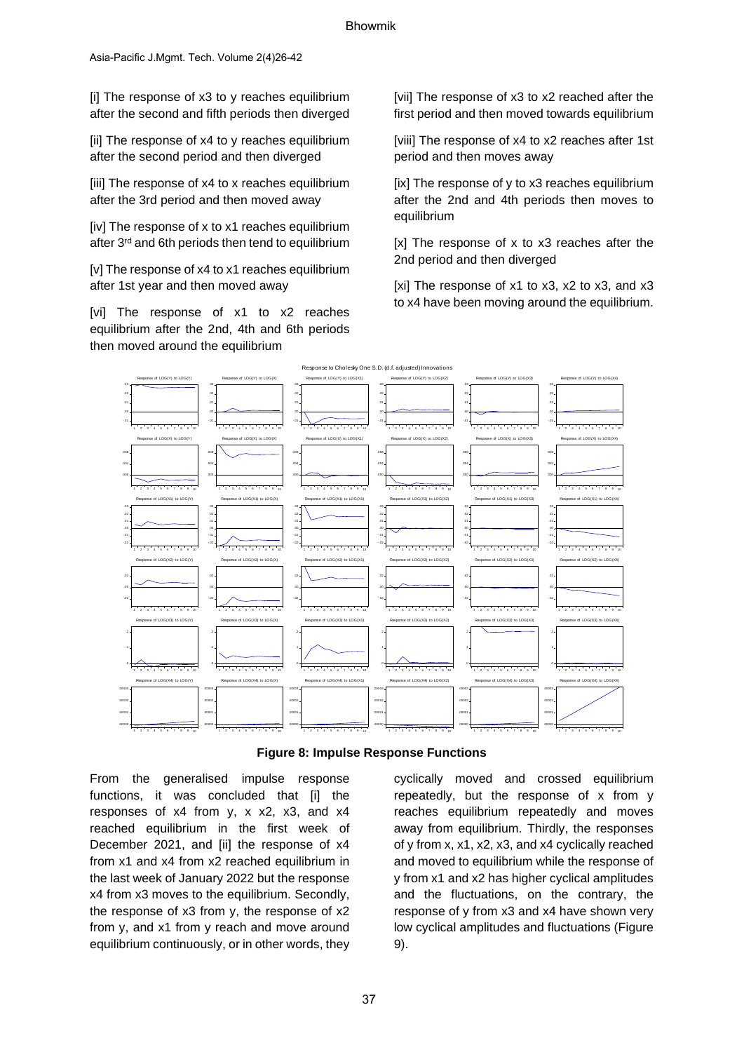[i] The response of x3 to y reaches equilibrium after the second and fifth periods then diverged

[ii] The response of x4 to y reaches equilibrium after the second period and then diverged

[iii] The response of x4 to x reaches equilibrium after the 3rd period and then moved away

[iv] The response of x to x1 reaches equilibrium after 3rd and 6th periods then tend to equilibrium

[v] The response of x4 to x1 reaches equilibrium after 1st year and then moved away

[vi] The response of x1 to x2 reaches equilibrium after the 2nd, 4th and 6th periods then moved around the equilibrium

[vii] The response of x3 to x2 reached after the first period and then moved towards equilibrium

[viii] The response of x4 to x2 reaches after 1st period and then moves away

 $[ix]$  The response of  $y$  to  $x3$  reaches equilibrium after the 2nd and 4th periods then moves to equilibrium

[x] The response of x to x3 reaches after the 2nd period and then diverged

[xi] The response of x1 to x3, x2 to x3, and x3 to x4 have been moving around the equilibrium.



**Figure 8: Impulse Response Functions**

From the generalised impulse response functions, it was concluded that [i] the responses of x4 from y, x x2, x3, and x4 reached equilibrium in the first week of December 2021, and [ii] the response of x4 from x1 and x4 from x2 reached equilibrium in the last week of January 2022 but the response x4 from x3 moves to the equilibrium. Secondly, the response of x3 from y, the response of x2 from y, and x1 from y reach and move around equilibrium continuously, or in other words, they

cyclically moved and crossed equilibrium repeatedly, but the response of x from y reaches equilibrium repeatedly and moves away from equilibrium. Thirdly, the responses of y from x, x1, x2, x3, and x4 cyclically reached and moved to equilibrium while the response of y from x1 and x2 has higher cyclical amplitudes and the fluctuations, on the contrary, the response of y from x3 and x4 have shown very low cyclical amplitudes and fluctuations (Figure 9).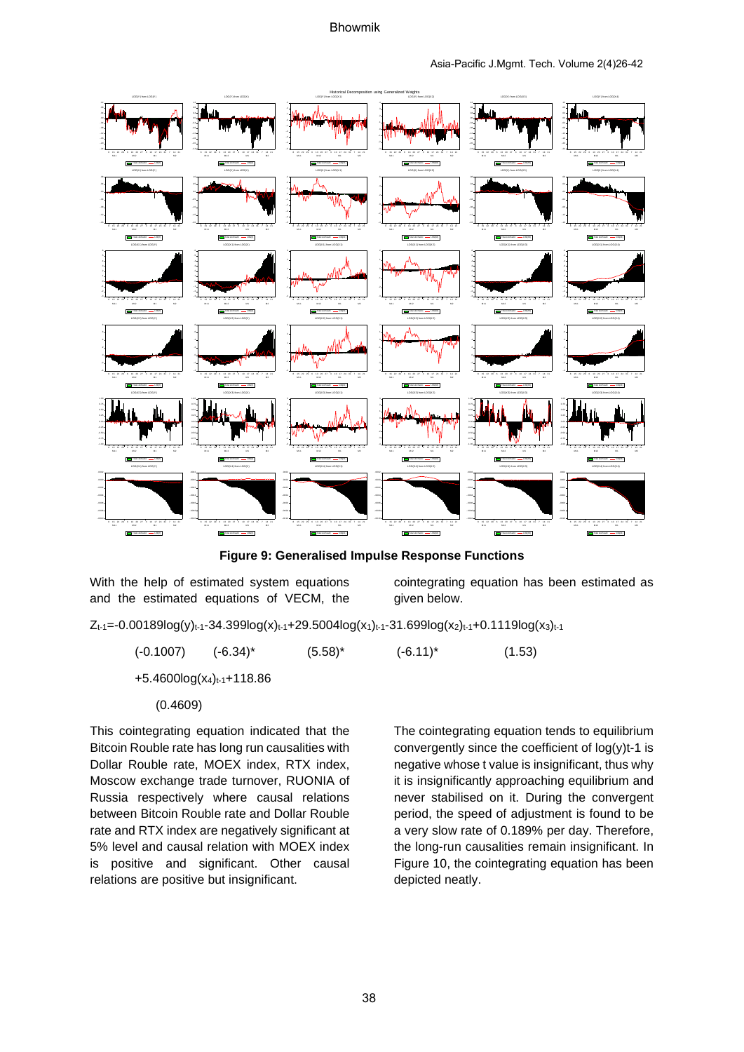

**Figure 9: Generalised Impulse Response Functions**

With the help of estimated system equations and the estimated equations of VECM, the cointegrating equation has been estimated as given below.

 $Z_{t-1} = -0.00189 \log(y)_{t-1} - 34.399 \log(x)_{t-1} + 29.5004 \log(x_1)_{t-1} - 31.699 \log(x_2)_{t-1} + 0.1119 \log(x_3)_{t-1}$ 

$$
(-0.1007) \qquad (-6.34)^* \qquad (5.58)^* \qquad (-6.11)^* \qquad (1.53)
$$

+5.4600log(x4)t-1+118.86

(0.4609)

This cointegrating equation indicated that the Bitcoin Rouble rate has long run causalities with Dollar Rouble rate, MOEX index, RTX index, Moscow exchange trade turnover, RUONIA of Russia respectively where causal relations between Bitcoin Rouble rate and Dollar Rouble rate and RTX index are negatively significant at 5% level and causal relation with MOEX index is positive and significant. Other causal relations are positive but insignificant.

The cointegrating equation tends to equilibrium convergently since the coefficient of log(y)t-1 is negative whose t value is insignificant, thus why it is insignificantly approaching equilibrium and never stabilised on it. During the convergent period, the speed of adjustment is found to be a very slow rate of 0.189% per day. Therefore, the long-run causalities remain insignificant. In Figure 10, the cointegrating equation has been depicted neatly.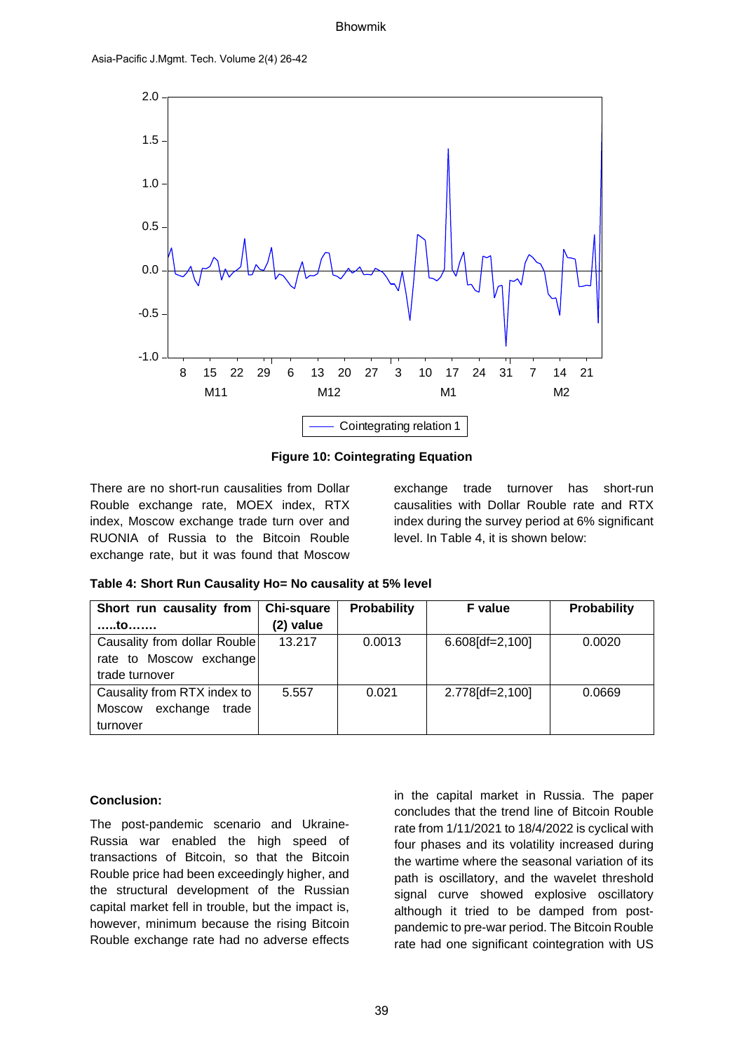

**Figure 10: Cointegrating Equation**

There are no short-run causalities from Dollar Rouble exchange rate, MOEX index, RTX index, Moscow exchange trade turn over and RUONIA of Russia to the Bitcoin Rouble exchange rate, but it was found that Moscow exchange trade turnover has short-run causalities with Dollar Rouble rate and RTX index during the survey period at 6% significant level. In Table 4, it is shown below:

| Table 4: Short Run Causality Ho= No causality at 5% level |  |  |  |
|-----------------------------------------------------------|--|--|--|
|-----------------------------------------------------------|--|--|--|

| Short run causality from<br><b>to</b>                                         | Chi-square<br>(2) value | <b>Probability</b> | <b>F</b> value  | Probability |
|-------------------------------------------------------------------------------|-------------------------|--------------------|-----------------|-------------|
| Causality from dollar Rouble<br>rate to Moscow exchange<br>trade turnover     | 13.217                  | 0.0013             | 6.608[df=2,100] | 0.0020      |
| Causality from RTX index to<br>exchange<br><b>Moscow</b><br>trade<br>turnover | 5.557                   | 0.021              | 2.778[df=2,100] | 0.0669      |

# **Conclusion:**

The post-pandemic scenario and Ukraine-Russia war enabled the high speed of transactions of Bitcoin, so that the Bitcoin Rouble price had been exceedingly higher, and the structural development of the Russian capital market fell in trouble, but the impact is, however, minimum because the rising Bitcoin Rouble exchange rate had no adverse effects

in the capital market in Russia. The paper concludes that the trend line of Bitcoin Rouble rate from 1/11/2021 to 18/4/2022 is cyclical with four phases and its volatility increased during the wartime where the seasonal variation of its path is oscillatory, and the wavelet threshold signal curve showed explosive oscillatory although it tried to be damped from postpandemic to pre-war period. The Bitcoin Rouble rate had one significant cointegration with US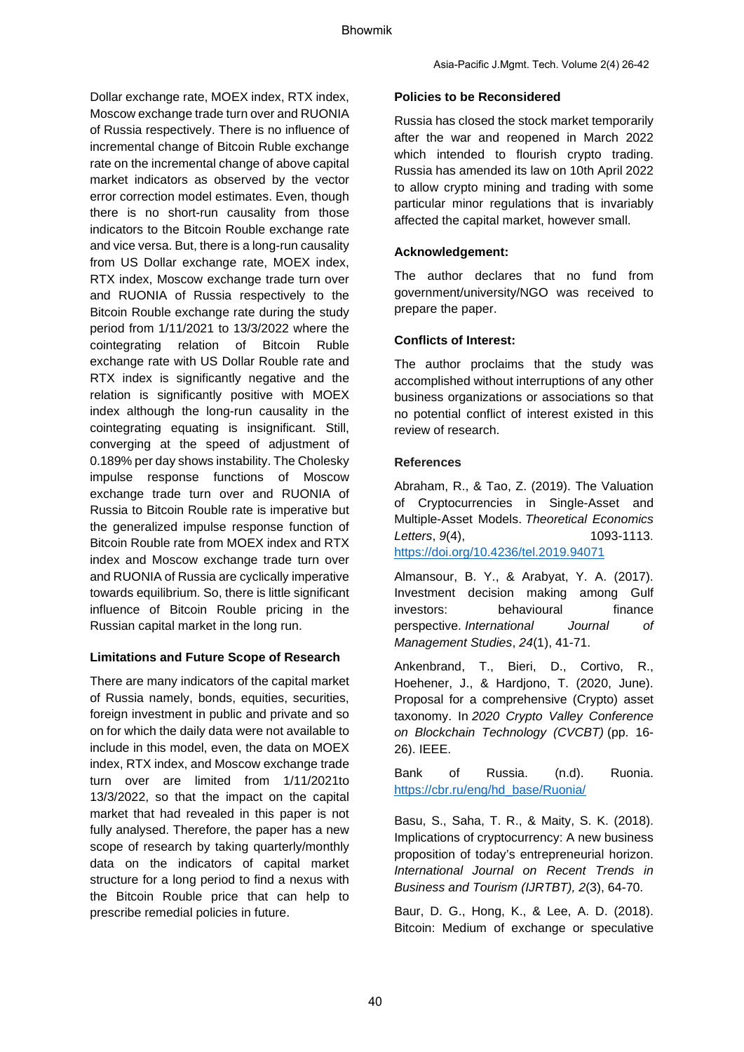Dollar exchange rate, MOEX index, RTX index, Moscow exchange trade turn over and RUONIA of Russia respectively. There is no influence of incremental change of Bitcoin Ruble exchange rate on the incremental change of above capital market indicators as observed by the vector error correction model estimates. Even, though there is no short-run causality from those indicators to the Bitcoin Rouble exchange rate and vice versa. But, there is a long-run causality from US Dollar exchange rate, MOEX index, RTX index, Moscow exchange trade turn over and RUONIA of Russia respectively to the Bitcoin Rouble exchange rate during the study period from 1/11/2021 to 13/3/2022 where the cointegrating relation of Bitcoin Ruble exchange rate with US Dollar Rouble rate and RTX index is significantly negative and the relation is significantly positive with MOEX index although the long-run causality in the cointegrating equating is insignificant. Still, converging at the speed of adjustment of 0.189% per day shows instability. The Cholesky impulse response functions of Moscow exchange trade turn over and RUONIA of Russia to Bitcoin Rouble rate is imperative but the generalized impulse response function of Bitcoin Rouble rate from MOEX index and RTX index and Moscow exchange trade turn over and RUONIA of Russia are cyclically imperative towards equilibrium. So, there is little significant influence of Bitcoin Rouble pricing in the Russian capital market in the long run.

### **Limitations and Future Scope of Research**

There are many indicators of the capital market of Russia namely, bonds, equities, securities, foreign investment in public and private and so on for which the daily data were not available to include in this model, even, the data on MOEX index, RTX index, and Moscow exchange trade turn over are limited from 1/11/2021to 13/3/2022, so that the impact on the capital market that had revealed in this paper is not fully analysed. Therefore, the paper has a new scope of research by taking quarterly/monthly data on the indicators of capital market structure for a long period to find a nexus with the Bitcoin Rouble price that can help to prescribe remedial policies in future.

# **Policies to be Reconsidered**

Russia has closed the stock market temporarily after the war and reopened in March 2022 which intended to flourish crypto trading. Russia has amended its law on 10th April 2022 to allow crypto mining and trading with some particular minor regulations that is invariably affected the capital market, however small.

# **Acknowledgement:**

The author declares that no fund from government/university/NGO was received to prepare the paper.

# **Conflicts of Interest:**

The author proclaims that the study was accomplished without interruptions of any other business organizations or associations so that no potential conflict of interest existed in this review of research.

### **References**

Abraham, R., & Tao, Z. (2019). The Valuation of Cryptocurrencies in Single-Asset and Multiple-Asset Models. *Theoretical Economics Letters*, *9*(4), 1093-1113. <https://doi.org/10.4236/tel.2019.94071>

Almansour, B. Y., & Arabyat, Y. A. (2017). Investment decision making among Gulf investors: behavioural finance perspective. *International Journal of Management Studies*, *24*(1), 41-71.

Ankenbrand, T., Bieri, D., Cortivo, R., Hoehener, J., & Hardjono, T. (2020, June). Proposal for a comprehensive (Crypto) asset taxonomy. In *2020 Crypto Valley Conference on Blockchain Technology (CVCBT)* (pp. 16- 26). IEEE.

Bank of Russia. (n.d). Ruonia. [https://cbr.ru/eng/hd\\_base/Ruonia/](https://cbr.ru/eng/hd_base/Ruonia/)

Basu, S., Saha, T. R., & Maity, S. K. (2018). Implications of cryptocurrency: A new business proposition of today's entrepreneurial horizon. *International Journal on Recent Trends in Business and Tourism (IJRTBT), 2*(3), 64-70.

Baur, D. G., Hong, K., & Lee, A. D. (2018). Bitcoin: Medium of exchange or speculative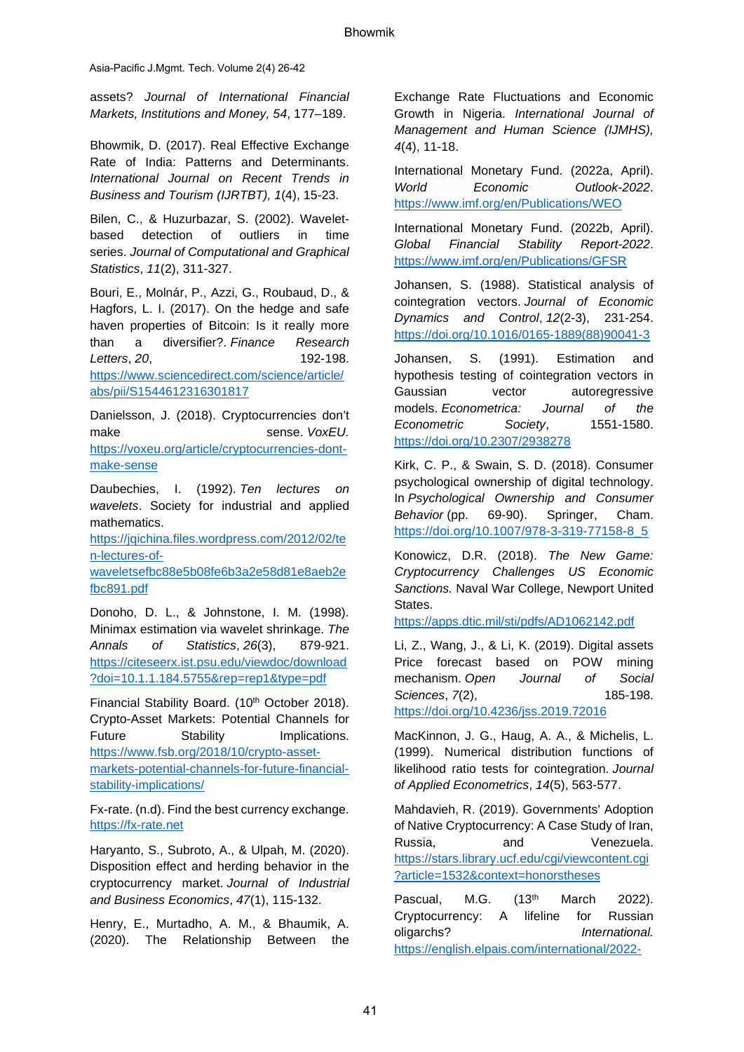Asia-Pacific J.Mgmt. Tech. Volume 2(4) 26-42

assets? *Journal of International Financial Markets, Institutions and Money, 54*, 177–189.

Bhowmik, D. (2017). Real Effective Exchange Rate of India: Patterns and Determinants. *International Journal on Recent Trends in Business and Tourism (IJRTBT), 1*(4), 15-23.

Bilen, C., & Huzurbazar, S. (2002). Waveletbased detection of outliers in time series. *Journal of Computational and Graphical Statistics*, *11*(2), 311-327.

Bouri, E., Molnár, P., Azzi, G., Roubaud, D., & Hagfors, L. I. (2017). On the hedge and safe haven properties of Bitcoin: Is it really more than a diversifier?. *Finance Research Letters*, *20*, 192-198. [https://www.sciencedirect.com/science/article/](https://www.sciencedirect.com/science/article/abs/pii/S1544612316301817) [abs/pii/S1544612316301817](https://www.sciencedirect.com/science/article/abs/pii/S1544612316301817)

Danielsson, J. (2018). Cryptocurrencies don't make sense. *VoxEU.* [https://voxeu.org/article/cryptocurrencies-dont](https://voxeu.org/article/cryptocurrencies-dont-make-sense)[make-sense](https://voxeu.org/article/cryptocurrencies-dont-make-sense)

Daubechies, I. (1992). *Ten lectures on wavelets*. Society for industrial and applied mathematics.

[https://jqichina.files.wordpress.com/2012/02/te](https://jqichina.files.wordpress.com/2012/02/ten-lectures-of-waveletsefbc88e5b08fe6b3a2e58d81e8aeb2efbc891.pdf) [n-lectures-of-](https://jqichina.files.wordpress.com/2012/02/ten-lectures-of-waveletsefbc88e5b08fe6b3a2e58d81e8aeb2efbc891.pdf)

[waveletsefbc88e5b08fe6b3a2e58d81e8aeb2e](https://jqichina.files.wordpress.com/2012/02/ten-lectures-of-waveletsefbc88e5b08fe6b3a2e58d81e8aeb2efbc891.pdf) [fbc891.pdf](https://jqichina.files.wordpress.com/2012/02/ten-lectures-of-waveletsefbc88e5b08fe6b3a2e58d81e8aeb2efbc891.pdf)

Donoho, D. L., & Johnstone, I. M. (1998). Minimax estimation via wavelet shrinkage. *The Annals of Statistics*, *26*(3), 879-921. [https://citeseerx.ist.psu.edu/viewdoc/download](https://citeseerx.ist.psu.edu/viewdoc/download?doi=10.1.1.184.5755&rep=rep1&type=pdf) [?doi=10.1.1.184.5755&rep=rep1&type=pdf](https://citeseerx.ist.psu.edu/viewdoc/download?doi=10.1.1.184.5755&rep=rep1&type=pdf)

Financial Stability Board. (10<sup>th</sup> October 2018). Crypto-Asset Markets: Potential Channels for Future Stability Implications. [https://www.fsb.org/2018/10/crypto-asset](https://www.fsb.org/2018/10/crypto-asset-markets-potential-channels-for-future-financial-stability-implications/)[markets-potential-channels-for-future-financial](https://www.fsb.org/2018/10/crypto-asset-markets-potential-channels-for-future-financial-stability-implications/)[stability-implications/](https://www.fsb.org/2018/10/crypto-asset-markets-potential-channels-for-future-financial-stability-implications/)

Fx-rate. (n.d). Find the best currency exchange. [https://fx-rate.net](https://fx-rate.net/)

Haryanto, S., Subroto, A., & Ulpah, M. (2020). Disposition effect and herding behavior in the cryptocurrency market. *Journal of Industrial and Business Economics*, *47*(1), 115-132.

Henry, E., Murtadho, A. M., & Bhaumik, A. (2020). The Relationship Between the Exchange Rate Fluctuations and Economic Growth in Nigeria. *International Journal of Management and Human Science (IJMHS), 4*(4), 11-18.

International Monetary Fund. (2022a, April). *World Economic Outlook-2022*. <https://www.imf.org/en/Publications/WEO>

International Monetary Fund. (2022b, April). *Global Financial Stability Report-2022*. <https://www.imf.org/en/Publications/GFSR>

Johansen, S. (1988). Statistical analysis of cointegration vectors. *Journal of Economic Dynamics and Control*, *12*(2-3), 231-254. [https://doi.org/10.1016/0165-1889\(88\)90041-3](https://doi.org/10.1016/0165-1889(88)90041-3)

Johansen, S. (1991). Estimation and hypothesis testing of cointegration vectors in Gaussian vector autoregressive models. *Econometrica: Journal of the Econometric Society*, 1551-1580. <https://doi.org/10.2307/2938278>

Kirk, C. P., & Swain, S. D. (2018). Consumer psychological ownership of digital technology. In *Psychological Ownership and Consumer Behavior* (pp. 69-90). Springer, Cham. [https://doi.org/10.1007/978-3-319-77158-8\\_5](https://doi.org/10.1007/978-3-319-77158-8_5)

Konowicz, D.R. (2018). *The New Game: Cryptocurrency Challenges US Economic Sanctions.* Naval War College, Newport United States.

<https://apps.dtic.mil/sti/pdfs/AD1062142.pdf>

Li, Z., Wang, J., & Li, K. (2019). Digital assets Price forecast based on POW mining mechanism. *Open Journal of Social Sciences*, *7*(2), 185-198. <https://doi.org/10.4236/jss.2019.72016>

MacKinnon, J. G., Haug, A. A., & Michelis, L. (1999). Numerical distribution functions of likelihood ratio tests for cointegration. *Journal of Applied Econometrics*, *14*(5), 563-577.

Mahdavieh, R. (2019). Governments' Adoption of Native Cryptocurrency: A Case Study of Iran, Russia, and Venezuela. [https://stars.library.ucf.edu/cgi/viewcontent.cgi](https://stars.library.ucf.edu/cgi/viewcontent.cgi?article=1532&context=honorstheses) [?article=1532&context=honorstheses](https://stars.library.ucf.edu/cgi/viewcontent.cgi?article=1532&context=honorstheses)

Pascual, M.G.  $(13<sup>th</sup>$  March 2022). Cryptocurrency: A lifeline for Russian oligarchs? *International.* [https://english.elpais.com/international/2022-](https://english.elpais.com/international/2022-03-13/cryptocurrency-a-lifeline-for-russian-oligarchs.html)